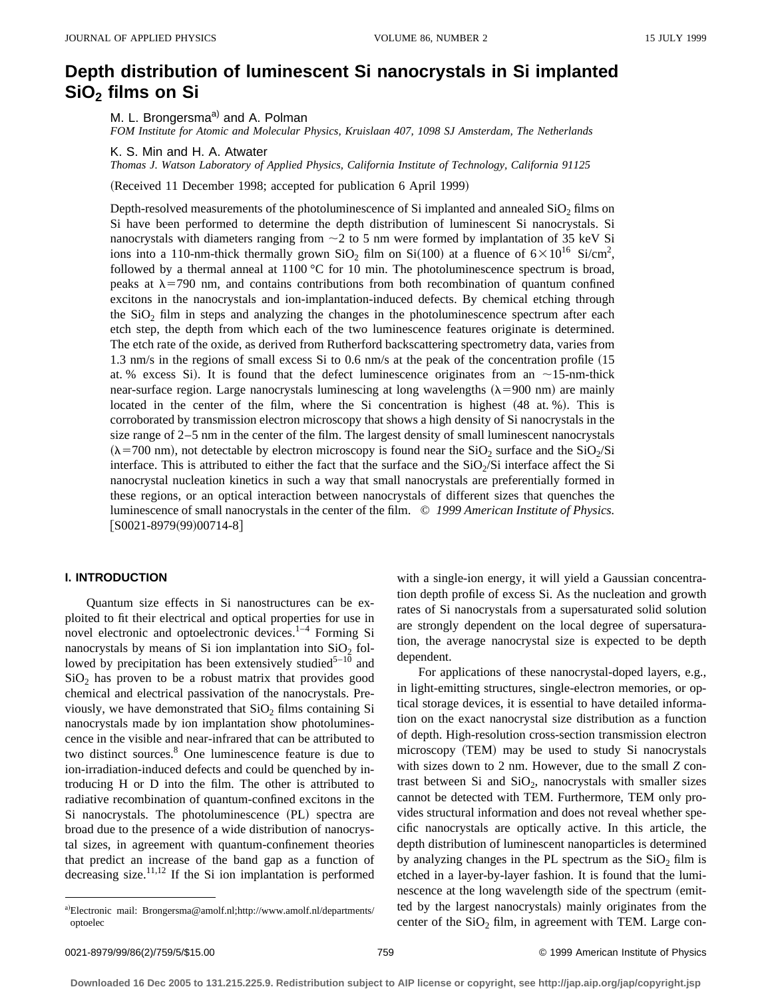# **Depth distribution of luminescent Si nanocrystals in Si implanted SiO2 films on Si**

M. L. Brongersma<sup>a)</sup> and A. Polman

*FOM Institute for Atomic and Molecular Physics, Kruislaan 407, 1098 SJ Amsterdam, The Netherlands*

K. S. Min and H. A. Atwater

*Thomas J. Watson Laboratory of Applied Physics, California Institute of Technology, California 91125*

(Received 11 December 1998; accepted for publication 6 April 1999)

Depth-resolved measurements of the photoluminescence of Si implanted and annealed  $SiO<sub>2</sub>$  films on Si have been performed to determine the depth distribution of luminescent Si nanocrystals. Si nanocrystals with diameters ranging from  $\sim$  2 to 5 nm were formed by implantation of 35 keV Si ions into a 110-nm-thick thermally grown  $SiO_2$  film on  $Si(100)$  at a fluence of  $6\times10^{16}$  Si/cm<sup>2</sup>, followed by a thermal anneal at  $1100\text{ °C}$  for 10 min. The photoluminescence spectrum is broad, peaks at  $\lambda$ =790 nm, and contains contributions from both recombination of quantum confined excitons in the nanocrystals and ion-implantation-induced defects. By chemical etching through the  $SiO<sub>2</sub>$  film in steps and analyzing the changes in the photoluminescence spectrum after each etch step, the depth from which each of the two luminescence features originate is determined. The etch rate of the oxide, as derived from Rutherford backscattering spectrometry data, varies from 1.3 nm/s in the regions of small excess Si to  $0.6$  nm/s at the peak of the concentration profile  $(15$ at. % excess Si). It is found that the defect luminescence originates from an  $\sim$ 15-nm-thick near-surface region. Large nanocrystals luminescing at long wavelengths  $(\lambda = 900 \text{ nm})$  are mainly located in the center of the film, where the Si concentration is highest  $(48$  at. %). This is corroborated by transmission electron microscopy that shows a high density of Si nanocrystals in the size range of 2–5 nm in the center of the film. The largest density of small luminescent nanocrystals  $(\lambda = 700 \text{ nm})$ , not detectable by electron microscopy is found near the SiO<sub>2</sub> surface and the SiO<sub>2</sub>/Si interface. This is attributed to either the fact that the surface and the  $SiO<sub>2</sub>/Si$  interface affect the Si nanocrystal nucleation kinetics in such a way that small nanocrystals are preferentially formed in these regions, or an optical interaction between nanocrystals of different sizes that quenches the luminescence of small nanocrystals in the center of the film. © *1999 American Institute of Physics.*  $[50021-8979(99)00714-8]$ 

# **I. INTRODUCTION**

Quantum size effects in Si nanostructures can be exploited to fit their electrical and optical properties for use in novel electronic and optoelectronic devices.<sup>1–4</sup> Forming Si nanocrystals by means of Si ion implantation into  $SiO<sub>2</sub>$  followed by precipitation has been extensively studied<sup>5-10</sup> and  $SiO<sub>2</sub>$  has proven to be a robust matrix that provides good chemical and electrical passivation of the nanocrystals. Previously, we have demonstrated that  $SiO<sub>2</sub>$  films containing Si nanocrystals made by ion implantation show photoluminescence in the visible and near-infrared that can be attributed to two distinct sources.<sup>8</sup> One luminescence feature is due to ion-irradiation-induced defects and could be quenched by introducing H or D into the film. The other is attributed to radiative recombination of quantum-confined excitons in the Si nanocrystals. The photoluminescence (PL) spectra are broad due to the presence of a wide distribution of nanocrystal sizes, in agreement with quantum-confinement theories that predict an increase of the band gap as a function of decreasing size.<sup>11,12</sup> If the Si ion implantation is performed with a single-ion energy, it will yield a Gaussian concentration depth profile of excess Si. As the nucleation and growth rates of Si nanocrystals from a supersaturated solid solution are strongly dependent on the local degree of supersaturation, the average nanocrystal size is expected to be depth dependent.

For applications of these nanocrystal-doped layers, e.g., in light-emitting structures, single-electron memories, or optical storage devices, it is essential to have detailed information on the exact nanocrystal size distribution as a function of depth. High-resolution cross-section transmission electron microscopy (TEM) may be used to study Si nanocrystals with sizes down to 2 nm. However, due to the small *Z* contrast between Si and  $SiO<sub>2</sub>$ , nanocrystals with smaller sizes cannot be detected with TEM. Furthermore, TEM only provides structural information and does not reveal whether specific nanocrystals are optically active. In this article, the depth distribution of luminescent nanoparticles is determined by analyzing changes in the PL spectrum as the  $SiO<sub>2</sub>$  film is etched in a layer-by-layer fashion. It is found that the luminescence at the long wavelength side of the spectrum (emitted by the largest nanocrystals) mainly originates from the center of the  $SiO<sub>2</sub>$  film, in agreement with TEM. Large con-

a)Electronic mail: Brongersma@amolf.nl;http://www.amolf.nl/departments/ optoelec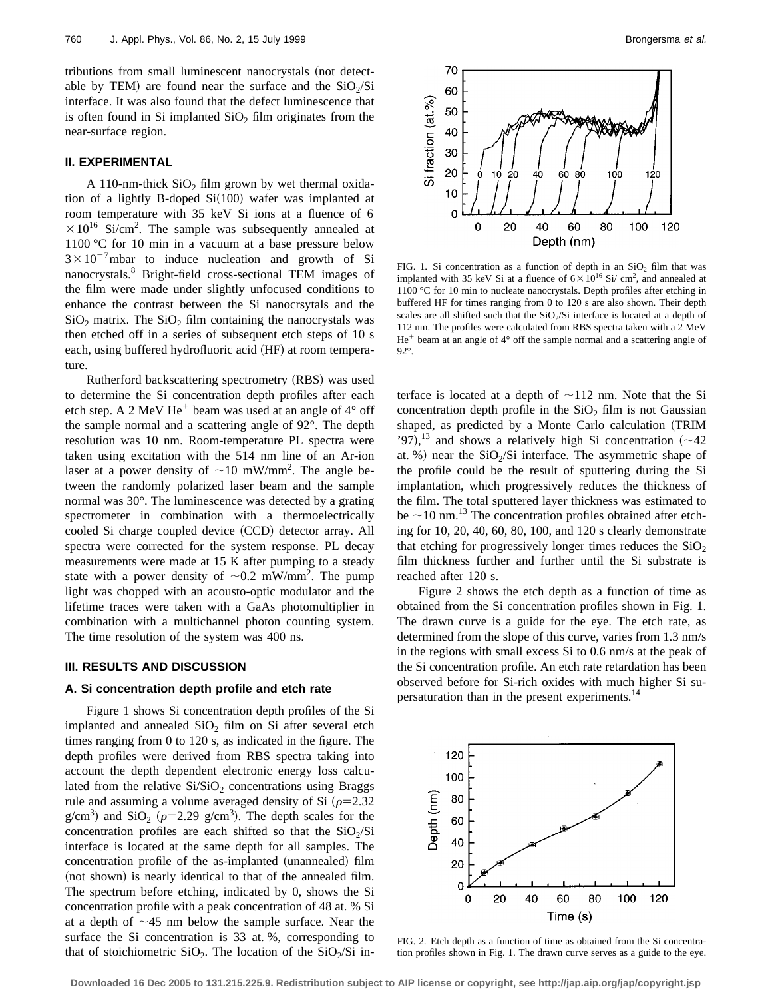tributions from small luminescent nanocrystals (not detectable by TEM) are found near the surface and the  $SiO<sub>2</sub>/Si$ interface. It was also found that the defect luminescence that is often found in Si implanted  $SiO<sub>2</sub>$  film originates from the near-surface region.

# **II. EXPERIMENTAL**

A 110-nm-thick  $SiO<sub>2</sub>$  film grown by wet thermal oxidation of a lightly B-doped  $Si(100)$  wafer was implanted at room temperature with 35 keV Si ions at a fluence of 6  $\times 10^{16}$  Si/cm<sup>2</sup>. The sample was subsequently annealed at 1100 °C for 10 min in a vacuum at a base pressure below  $3 \times 10^{-7}$ mbar to induce nucleation and growth of Si nanocrystals.8 Bright-field cross-sectional TEM images of the film were made under slightly unfocused conditions to enhance the contrast between the Si nanocrsytals and the  $SiO<sub>2</sub>$  matrix. The  $SiO<sub>2</sub>$  film containing the nanocrystals was then etched off in a series of subsequent etch steps of 10 s each, using buffered hydrofluoric acid (HF) at room temperature.

Rutherford backscattering spectrometry (RBS) was used to determine the Si concentration depth profiles after each etch step. A 2 MeV He<sup>+</sup> beam was used at an angle of  $4^{\circ}$  off the sample normal and a scattering angle of 92°. The depth resolution was 10 nm. Room-temperature PL spectra were taken using excitation with the 514 nm line of an Ar-ion laser at a power density of  $\sim$ 10 mW/mm<sup>2</sup>. The angle between the randomly polarized laser beam and the sample normal was 30°. The luminescence was detected by a grating spectrometer in combination with a thermoelectrically cooled Si charge coupled device (CCD) detector array. All spectra were corrected for the system response. PL decay measurements were made at 15 K after pumping to a steady state with a power density of  $\sim 0.2$  mW/mm<sup>2</sup>. The pump light was chopped with an acousto-optic modulator and the lifetime traces were taken with a GaAs photomultiplier in combination with a multichannel photon counting system. The time resolution of the system was 400 ns.

### **III. RESULTS AND DISCUSSION**

#### **A. Si concentration depth profile and etch rate**

Figure 1 shows Si concentration depth profiles of the Si implanted and annealed  $SiO<sub>2</sub>$  film on Si after several etch times ranging from 0 to 120 s, as indicated in the figure. The depth profiles were derived from RBS spectra taking into account the depth dependent electronic energy loss calculated from the relative  $Si/SiO<sub>2</sub>$  concentrations using Braggs rule and assuming a volume averaged density of Si  $(\rho=2.32$  $g/cm<sup>3</sup>$ ) and  $SiO<sub>2</sub>$  ( $\rho=2.29$  g/cm<sup>3</sup>). The depth scales for the concentration profiles are each shifted so that the  $SiO<sub>2</sub>/Si$ interface is located at the same depth for all samples. The concentration profile of the as-implanted (unannealed) film (not shown) is nearly identical to that of the annealed film. The spectrum before etching, indicated by 0, shows the Si concentration profile with a peak concentration of 48 at. % Si at a depth of  $\sim$ 45 nm below the sample surface. Near the surface the Si concentration is 33 at. %, corresponding to that of stoichiometric  $SiO<sub>2</sub>$ . The location of the  $SiO<sub>2</sub>/Si$  in-



FIG. 1. Si concentration as a function of depth in an  $SiO<sub>2</sub>$  film that was implanted with 35 keV Si at a fluence of  $6 \times 10^{16}$  Si/ cm<sup>2</sup>, and annealed at 1100 °C for 10 min to nucleate nanocrystals. Depth profiles after etching in buffered HF for times ranging from 0 to 120 s are also shown. Their depth scales are all shifted such that the  $SiO<sub>2</sub>/Si$  interface is located at a depth of 112 nm. The profiles were calculated from RBS spectra taken with a 2 MeV  $He<sup>+</sup>$  beam at an angle of  $4^{\circ}$  off the sample normal and a scattering angle of 92°.

terface is located at a depth of  $\sim$ 112 nm. Note that the Si concentration depth profile in the  $SiO<sub>2</sub>$  film is not Gaussian shaped, as predicted by a Monte Carlo calculation (TRIM '97),<sup>13</sup> and shows a relatively high Si concentration ( $\sim$ 42) at. %) near the  $SiO<sub>2</sub>/Si$  interface. The asymmetric shape of the profile could be the result of sputtering during the Si implantation, which progressively reduces the thickness of the film. The total sputtered layer thickness was estimated to be  $\sim$ 10 nm.<sup>13</sup> The concentration profiles obtained after etching for 10, 20, 40, 60, 80, 100, and 120 s clearly demonstrate that etching for progressively longer times reduces the  $SiO<sub>2</sub>$ film thickness further and further until the Si substrate is reached after 120 s.

Figure 2 shows the etch depth as a function of time as obtained from the Si concentration profiles shown in Fig. 1. The drawn curve is a guide for the eye. The etch rate, as determined from the slope of this curve, varies from 1.3 nm/s in the regions with small excess Si to 0.6 nm/s at the peak of the Si concentration profile. An etch rate retardation has been observed before for Si-rich oxides with much higher Si supersaturation than in the present experiments.<sup>14</sup>



FIG. 2. Etch depth as a function of time as obtained from the Si concentration profiles shown in Fig. 1. The drawn curve serves as a guide to the eye.

**Downloaded 16 Dec 2005 to 131.215.225.9. Redistribution subject to AIP license or copyright, see http://jap.aip.org/jap/copyright.jsp**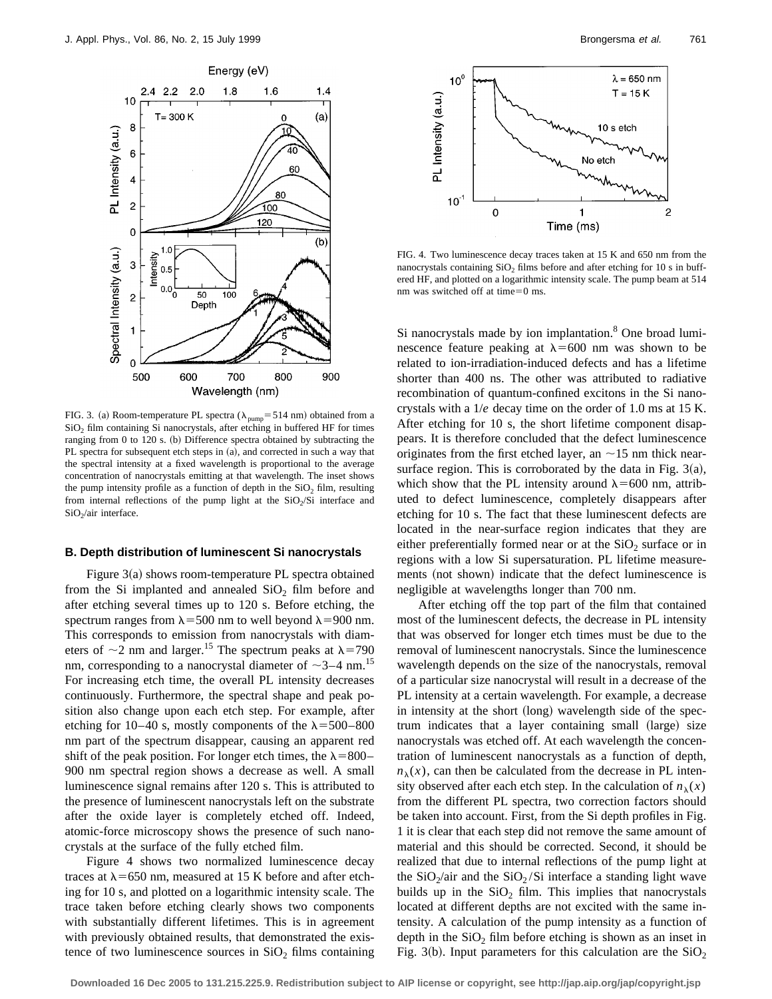

FIG. 3. (a) Room-temperature PL spectra ( $\lambda_{pump}$ = 514 nm) obtained from a  $SiO<sub>2</sub>$  film containing Si nanocrystals, after etching in buffered HF for times ranging from 0 to 120 s. (b) Difference spectra obtained by subtracting the PL spectra for subsequent etch steps in (a), and corrected in such a way that the spectral intensity at a fixed wavelength is proportional to the average concentration of nanocrystals emitting at that wavelength. The inset shows the pump intensity profile as a function of depth in the  $SiO<sub>2</sub>$  film, resulting from internal reflections of the pump light at the  $SiO<sub>2</sub>/Si$  interface and SiO<sub>2</sub>/air interface.

#### **B. Depth distribution of luminescent Si nanocrystals**

Figure  $3(a)$  shows room-temperature PL spectra obtained from the Si implanted and annealed  $SiO<sub>2</sub>$  film before and after etching several times up to 120 s. Before etching, the spectrum ranges from  $\lambda$ =500 nm to well beyond  $\lambda$ =900 nm. This corresponds to emission from nanocrystals with diameters of  $\sim$ 2 nm and larger.<sup>15</sup> The spectrum peaks at  $\lambda$ =790 nm, corresponding to a nanocrystal diameter of  $\sim$ 3–4 nm.<sup>15</sup> For increasing etch time, the overall PL intensity decreases continuously. Furthermore, the spectral shape and peak position also change upon each etch step. For example, after etching for 10–40 s, mostly components of the  $\lambda$ =500–800 nm part of the spectrum disappear, causing an apparent red shift of the peak position. For longer etch times, the  $\lambda$ =800– 900 nm spectral region shows a decrease as well. A small luminescence signal remains after 120 s. This is attributed to the presence of luminescent nanocrystals left on the substrate after the oxide layer is completely etched off. Indeed, atomic-force microscopy shows the presence of such nanocrystals at the surface of the fully etched film.

Figure 4 shows two normalized luminescence decay traces at  $\lambda$ =650 nm, measured at 15 K before and after etching for 10 s, and plotted on a logarithmic intensity scale. The trace taken before etching clearly shows two components with substantially different lifetimes. This is in agreement with previously obtained results, that demonstrated the existence of two luminescence sources in  $SiO<sub>2</sub>$  films containing



FIG. 4. Two luminescence decay traces taken at 15 K and 650 nm from the nanocrystals containing  $SiO<sub>2</sub>$  films before and after etching for 10 s in buffered HF, and plotted on a logarithmic intensity scale. The pump beam at 514 nm was switched off at time=0 ms.

Si nanocrystals made by ion implantation. $8$  One broad luminescence feature peaking at  $\lambda$ =600 nm was shown to be related to ion-irradiation-induced defects and has a lifetime shorter than 400 ns. The other was attributed to radiative recombination of quantum-confined excitons in the Si nanocrystals with a 1/*e* decay time on the order of 1.0 ms at 15 K. After etching for 10 s, the short lifetime component disappears. It is therefore concluded that the defect luminescence originates from the first etched layer, an  $\sim$ 15 nm thick nearsurface region. This is corroborated by the data in Fig.  $3(a)$ , which show that the PL intensity around  $\lambda$ =600 nm, attributed to defect luminescence, completely disappears after etching for 10 s. The fact that these luminescent defects are located in the near-surface region indicates that they are either preferentially formed near or at the  $SiO<sub>2</sub>$  surface or in regions with a low Si supersaturation. PL lifetime measurements (not shown) indicate that the defect luminescence is negligible at wavelengths longer than 700 nm.

After etching off the top part of the film that contained most of the luminescent defects, the decrease in PL intensity that was observed for longer etch times must be due to the removal of luminescent nanocrystals. Since the luminescence wavelength depends on the size of the nanocrystals, removal of a particular size nanocrystal will result in a decrease of the PL intensity at a certain wavelength. For example, a decrease in intensity at the short (long) wavelength side of the spectrum indicates that a layer containing small (large) size nanocrystals was etched off. At each wavelength the concentration of luminescent nanocrystals as a function of depth,  $n_{\lambda}(x)$ , can then be calculated from the decrease in PL intensity observed after each etch step. In the calculation of  $n_{\lambda}(x)$ from the different PL spectra, two correction factors should be taken into account. First, from the Si depth profiles in Fig. 1 it is clear that each step did not remove the same amount of material and this should be corrected. Second, it should be realized that due to internal reflections of the pump light at the  $SiO_2/air$  and the  $SiO_2/Si$  interface a standing light wave builds up in the  $SiO<sub>2</sub>$  film. This implies that nanocrystals located at different depths are not excited with the same intensity. A calculation of the pump intensity as a function of depth in the  $SiO<sub>2</sub>$  film before etching is shown as an inset in Fig. 3(b). Input parameters for this calculation are the  $SiO<sub>2</sub>$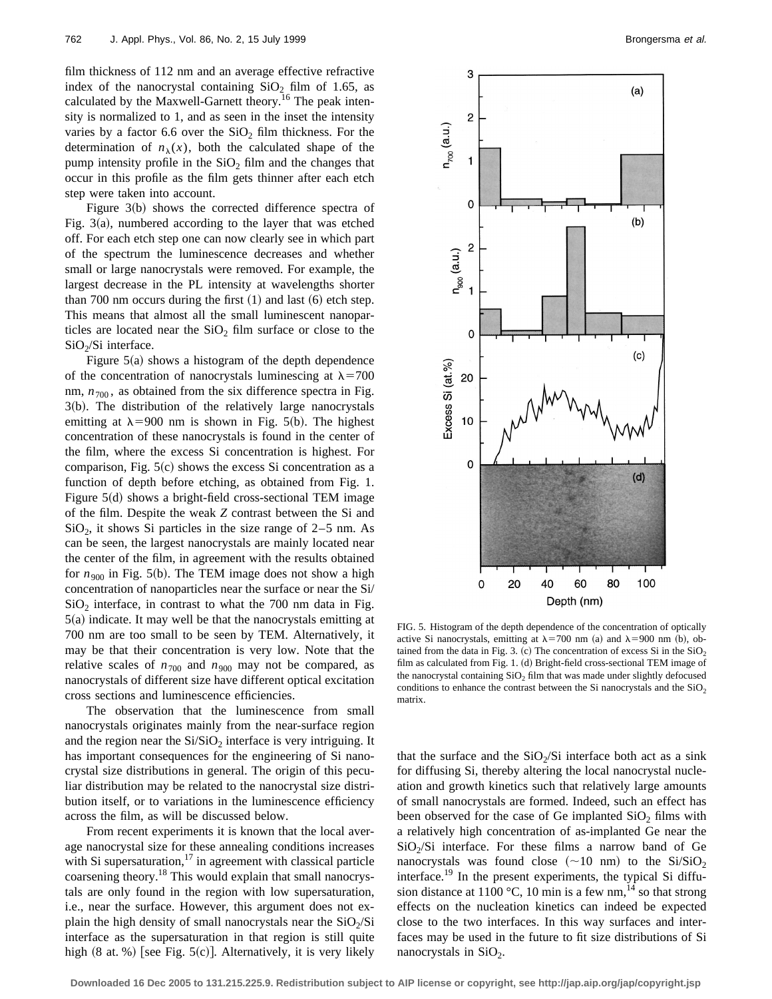film thickness of 112 nm and an average effective refractive index of the nanocrystal containing  $SiO<sub>2</sub>$  film of 1.65, as calculated by the Maxwell-Garnett theory.<sup>16</sup> The peak intensity is normalized to 1, and as seen in the inset the intensity varies by a factor 6.6 over the  $SiO<sub>2</sub>$  film thickness. For the determination of  $n_{\lambda}(x)$ , both the calculated shape of the pump intensity profile in the  $SiO<sub>2</sub>$  film and the changes that occur in this profile as the film gets thinner after each etch step were taken into account.

Figure  $3(b)$  shows the corrected difference spectra of Fig.  $3(a)$ , numbered according to the layer that was etched off. For each etch step one can now clearly see in which part of the spectrum the luminescence decreases and whether small or large nanocrystals were removed. For example, the largest decrease in the PL intensity at wavelengths shorter than 700 nm occurs during the first  $(1)$  and last  $(6)$  etch step. This means that almost all the small luminescent nanoparticles are located near the  $SiO<sub>2</sub>$  film surface or close to the  $SiO<sub>2</sub>/Si$  interface.

Figure  $5(a)$  shows a histogram of the depth dependence of the concentration of nanocrystals luminescing at  $\lambda$ =700 nm,  $n_{700}$ , as obtained from the six difference spectra in Fig.  $3(b)$ . The distribution of the relatively large nanocrystals emitting at  $\lambda$ =900 nm is shown in Fig. 5(b). The highest concentration of these nanocrystals is found in the center of the film, where the excess Si concentration is highest. For comparison, Fig.  $5(c)$  shows the excess Si concentration as a function of depth before etching, as obtained from Fig. 1. Figure  $5(d)$  shows a bright-field cross-sectional TEM image of the film. Despite the weak *Z* contrast between the Si and  $SiO<sub>2</sub>$ , it shows Si particles in the size range of 2–5 nm. As can be seen, the largest nanocrystals are mainly located near the center of the film, in agreement with the results obtained for  $n_{900}$  in Fig. 5(b). The TEM image does not show a high concentration of nanoparticles near the surface or near the Si/  $SiO<sub>2</sub>$  interface, in contrast to what the 700 nm data in Fig.  $5(a)$  indicate. It may well be that the nanocrystals emitting at 700 nm are too small to be seen by TEM. Alternatively, it may be that their concentration is very low. Note that the relative scales of  $n_{700}$  and  $n_{900}$  may not be compared, as nanocrystals of different size have different optical excitation cross sections and luminescence efficiencies.

The observation that the luminescence from small nanocrystals originates mainly from the near-surface region and the region near the  $Si/SiO<sub>2</sub>$  interface is very intriguing. It has important consequences for the engineering of Si nanocrystal size distributions in general. The origin of this peculiar distribution may be related to the nanocrystal size distribution itself, or to variations in the luminescence efficiency across the film, as will be discussed below.

From recent experiments it is known that the local average nanocrystal size for these annealing conditions increases with Si supersaturation, $17$  in agreement with classical particle coarsening theory.<sup>18</sup> This would explain that small nanocrystals are only found in the region with low supersaturation, i.e., near the surface. However, this argument does not explain the high density of small nanocrystals near the  $SiO<sub>2</sub>/Si$ interface as the supersaturation in that region is still quite high  $(8 \text{ at. } \%)$  [see Fig. 5 $(c)$ ]. Alternatively, it is very likely



FIG. 5. Histogram of the depth dependence of the concentration of optically active Si nanocrystals, emitting at  $\lambda$ =700 nm (a) and  $\lambda$ =900 nm (b), obtained from the data in Fig. 3. (c) The concentration of excess Si in the  $SiO<sub>2</sub>$ film as calculated from Fig. 1.  $(d)$  Bright-field cross-sectional TEM image of the nanocrystal containing  $SiO<sub>2</sub>$  film that was made under slightly defocused conditions to enhance the contrast between the Si nanocrystals and the  $SiO<sub>2</sub>$ matrix.

that the surface and the  $SiO<sub>2</sub>/Si$  interface both act as a sink for diffusing Si, thereby altering the local nanocrystal nucleation and growth kinetics such that relatively large amounts of small nanocrystals are formed. Indeed, such an effect has been observed for the case of Ge implanted  $SiO<sub>2</sub>$  films with a relatively high concentration of as-implanted Ge near the  $SiO<sub>2</sub>/Si$  interface. For these films a narrow band of Ge nanocrystals was found close  $(\sim 10 \text{ nm})$  to the Si/SiO<sub>2</sub> interface.<sup>19</sup> In the present experiments, the typical Si diffusion distance at 1100 °C, 10 min is a few nm,<sup>14</sup> so that strong effects on the nucleation kinetics can indeed be expected close to the two interfaces. In this way surfaces and interfaces may be used in the future to fit size distributions of Si nanocrystals in  $SiO<sub>2</sub>$ .